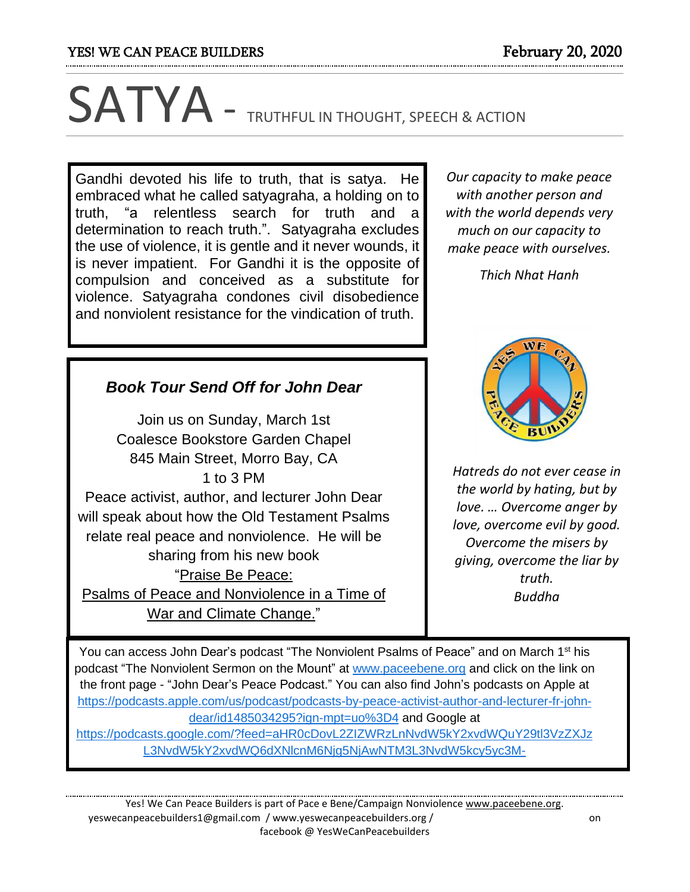# SATYA - TRUTHFUL IN THOUGHT, SPEECH & ACTION

Gandhi devoted his life to truth, that is satya. He embraced what he called satyagraha, a holding on to truth, "a relentless search for truth and a determination to reach truth.". Satyagraha excludes the use of violence, it is gentle and it never wounds, it is never impatient. For Gandhi it is the opposite of compulsion and conceived as a substitute for violence. Satyagraha condones civil disobedience and nonviolent resistance for the vindication of truth.

*Book Tour Send Off for John Dear*

Join us on Sunday, March 1st Coalesce Bookstore Garden Chapel 845 Main Street, Morro Bay, CA 1 to 3 PM Peace activist, author, and lecturer John Dear will speak about how the Old Testament Psalms relate real peace and nonviolence. He will be sharing from his new book "Praise Be Peace: Psalms of Peace and Nonviolence in a Time of

*Our capacity to make peace with another person and with the world depends very much on our capacity to make peace with ourselves.*

*Thich Nhat Hanh*



*Hatreds do not ever cease in the world by hating, but by love. … Overcome anger by love, overcome evil by good. Overcome the misers by giving, overcome the liar by truth. Buddha*

War and Climate Change." You can access John Dear's podcast "The Nonviolent Psalms of Peace" and on March 1<sup>st</sup> his podcast "The Nonviolent Sermon on the Mount" at [www.paceebene.org](http://www.paceebene.org/) and click on the link on the front page - "John Dear's Peace Podcast." You can also find John's podcasts on Apple at [https://podcasts.apple.com/us/podcast/podcasts-by-peace-activist-author-and-lecturer-fr-john-](https://podcasts.apple.com/us/podcast/podcasts-by-peace-activist-)

[dear/id1485034295?ign-mpt=uo%3D4](https://podcasts.apple.com/us/podcast/podcasts-by-peace-activist-) and Google at

[https://podcasts.google.com/?feed=aHR0cDovL2ZIZWRzLnNvdW5kY2xvdWQuY29tl3VzZXJz](https://podcasts.google.com/?feed=aH) [L3NvdW5kY2xvdWQ6dXNlcnM6Njg5NjAwNTM3L3NvdW5kcy5yc3M-](https://podcasts.google.com/?feed=aH)

Yes! We Can Peace Builders is part of Pace e Bene/Campaign Nonviolence [www.paceebene.org.](http://www.paceebene.org/) yeswecanpeacebuilders1@gmail.com / www.yeswecanpeacebuilders.org / on facebook @ YesWeCanPeacebuilders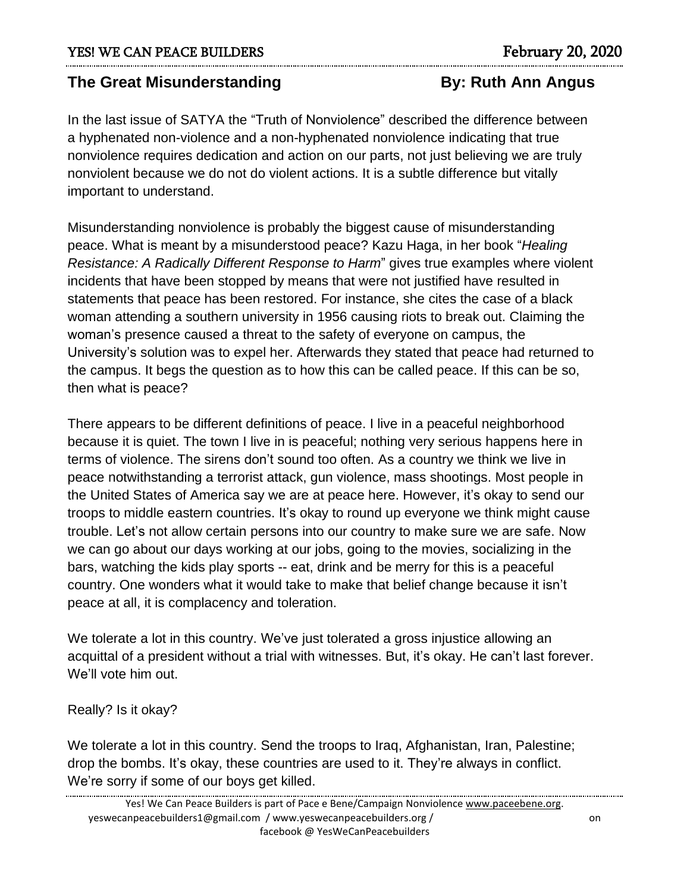# **The Great Misunderstanding The Great Misunderstanding By: Ruth Ann Angus**

In the last issue of SATYA the "Truth of Nonviolence" described the difference between a hyphenated non-violence and a non-hyphenated nonviolence indicating that true nonviolence requires dedication and action on our parts, not just believing we are truly nonviolent because we do not do violent actions. It is a subtle difference but vitally important to understand.

Misunderstanding nonviolence is probably the biggest cause of misunderstanding peace. What is meant by a misunderstood peace? Kazu Haga, in her book "*Healing Resistance: A Radically Different Response to Harm*" gives true examples where violent incidents that have been stopped by means that were not justified have resulted in statements that peace has been restored. For instance, she cites the case of a black woman attending a southern university in 1956 causing riots to break out. Claiming the woman's presence caused a threat to the safety of everyone on campus, the University's solution was to expel her. Afterwards they stated that peace had returned to the campus. It begs the question as to how this can be called peace. If this can be so, then what is peace?

There appears to be different definitions of peace. I live in a peaceful neighborhood because it is quiet. The town I live in is peaceful; nothing very serious happens here in terms of violence. The sirens don't sound too often. As a country we think we live in peace notwithstanding a terrorist attack, gun violence, mass shootings. Most people in the United States of America say we are at peace here. However, it's okay to send our troops to middle eastern countries. It's okay to round up everyone we think might cause trouble. Let's not allow certain persons into our country to make sure we are safe. Now we can go about our days working at our jobs, going to the movies, socializing in the bars, watching the kids play sports -- eat, drink and be merry for this is a peaceful country. One wonders what it would take to make that belief change because it isn't peace at all, it is complacency and toleration.

We tolerate a lot in this country. We've just tolerated a gross injustice allowing an acquittal of a president without a trial with witnesses. But, it's okay. He can't last forever. We'll vote him out.

## Really? Is it okay?

We tolerate a lot in this country. Send the troops to Iraq, Afghanistan, Iran, Palestine; drop the bombs. It's okay, these countries are used to it. They're always in conflict. We're sorry if some of our boys get killed.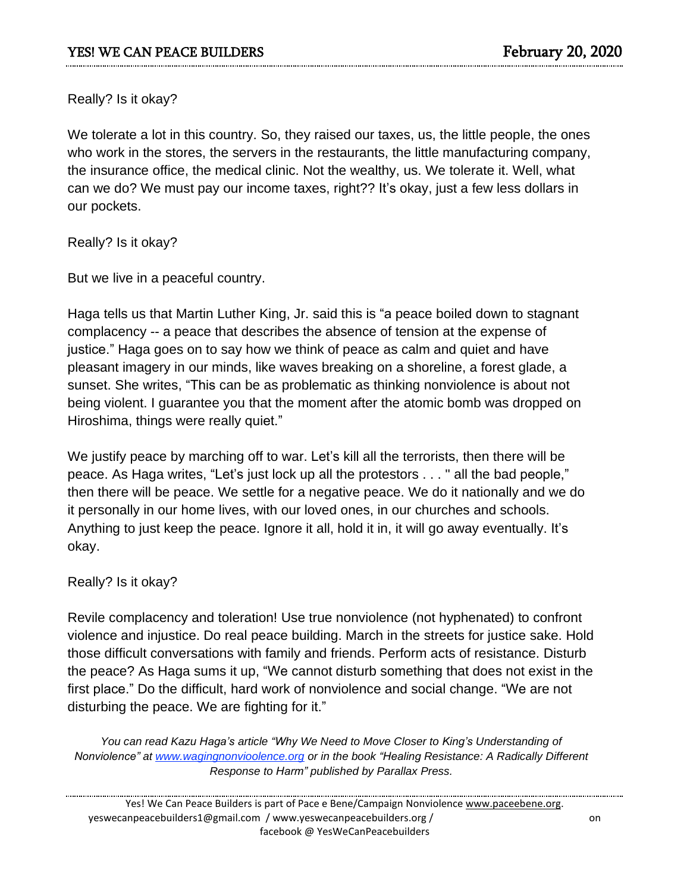Really? Is it okay?

We tolerate a lot in this country. So, they raised our taxes, us, the little people, the ones who work in the stores, the servers in the restaurants, the little manufacturing company, the insurance office, the medical clinic. Not the wealthy, us. We tolerate it. Well, what can we do? We must pay our income taxes, right?? It's okay, just a few less dollars in our pockets.

Really? Is it okay?

But we live in a peaceful country.

Haga tells us that Martin Luther King, Jr. said this is "a peace boiled down to stagnant complacency -- a peace that describes the absence of tension at the expense of justice." Haga goes on to say how we think of peace as calm and quiet and have pleasant imagery in our minds, like waves breaking on a shoreline, a forest glade, a sunset. She writes, "This can be as problematic as thinking nonviolence is about not being violent. I guarantee you that the moment after the atomic bomb was dropped on Hiroshima, things were really quiet."

We justify peace by marching off to war. Let's kill all the terrorists, then there will be peace. As Haga writes, "Let's just lock up all the protestors . . . '' all the bad people," then there will be peace. We settle for a negative peace. We do it nationally and we do it personally in our home lives, with our loved ones, in our churches and schools. Anything to just keep the peace. Ignore it all, hold it in, it will go away eventually. It's okay.

#### Really? Is it okay?

Revile complacency and toleration! Use true nonviolence (not hyphenated) to confront violence and injustice. Do real peace building. March in the streets for justice sake. Hold those difficult conversations with family and friends. Perform acts of resistance. Disturb the peace? As Haga sums it up, "We cannot disturb something that does not exist in the first place." Do the difficult, hard work of nonviolence and social change. "We are not disturbing the peace. We are fighting for it."

*You can read Kazu Haga's article "Why We Need to Move Closer to King's Understanding of Nonviolence" at www.wagingnonvioolence.org or in the book "Healing Resistance: A Radically Different Response to Harm" published by Parallax Press.*